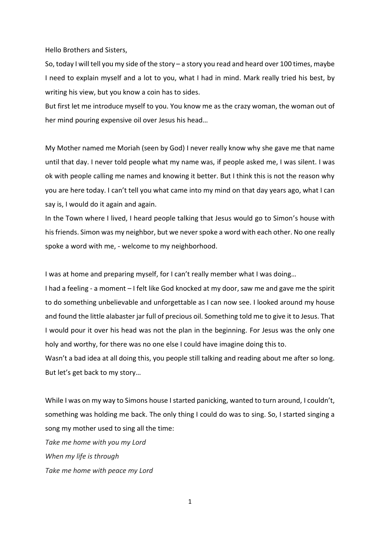Hello Brothers and Sisters,

So, today I will tell you my side of the story – a story you read and heard over 100 times, maybe I need to explain myself and a lot to you, what I had in mind. Mark really tried his best, by writing his view, but you know a coin has to sides.

But first let me introduce myself to you. You know me as the crazy woman, the woman out of her mind pouring expensive oil over Jesus his head…

My Mother named me Moriah (seen by God) I never really know why she gave me that name until that day. I never told people what my name was, if people asked me, I was silent. I was ok with people calling me names and knowing it better. But I think this is not the reason why you are here today. I can't tell you what came into my mind on that day years ago, what I can say is, I would do it again and again.

In the Town where I lived, I heard people talking that Jesus would go to Simon's house with his friends. Simon was my neighbor, but we never spoke a word with each other. No one really spoke a word with me, - welcome to my neighborhood.

I was at home and preparing myself, for I can't really member what I was doing…

I had a feeling - a moment – I felt like God knocked at my door, saw me and gave me the spirit to do something unbelievable and unforgettable as I can now see. I looked around my house and found the little alabaster jar full of precious oil. Something told me to give it to Jesus. That I would pour it over his head was not the plan in the beginning. For Jesus was the only one holy and worthy, for there was no one else I could have imagine doing this to.

Wasn't a bad idea at all doing this, you people still talking and reading about me after so long. But let's get back to my story…

While I was on my way to Simons house I started panicking, wanted to turn around, I couldn't, something was holding me back. The only thing I could do was to sing. So, I started singing a song my mother used to sing all the time:

*Take me home with you my Lord When my life is through Take me home with peace my Lord*

1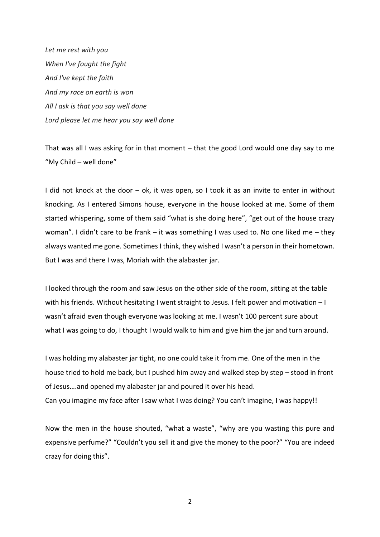*Let me rest with you When I've fought the fight And I've kept the faith And my race on earth is won All I ask is that you say well done Lord please let me hear you say well done*

That was all I was asking for in that moment – that the good Lord would one day say to me "My Child – well done"

I did not knock at the door – ok, it was open, so I took it as an invite to enter in without knocking. As I entered Simons house, everyone in the house looked at me. Some of them started whispering, some of them said "what is she doing here", "get out of the house crazy woman". I didn't care to be frank – it was something I was used to. No one liked me – they always wanted me gone. Sometimes I think, they wished I wasn't a person in their hometown. But I was and there I was, Moriah with the alabaster jar.

I looked through the room and saw Jesus on the other side of the room, sitting at the table with his friends. Without hesitating I went straight to Jesus. I felt power and motivation – I wasn't afraid even though everyone was looking at me. I wasn't 100 percent sure about what I was going to do, I thought I would walk to him and give him the jar and turn around.

I was holding my alabaster jar tight, no one could take it from me. One of the men in the house tried to hold me back, but I pushed him away and walked step by step – stood in front of Jesus….and opened my alabaster jar and poured it over his head. Can you imagine my face after I saw what I was doing? You can't imagine, I was happy!!

Now the men in the house shouted, "what a waste", "why are you wasting this pure and expensive perfume?" "Couldn't you sell it and give the money to the poor?" "You are indeed crazy for doing this".

2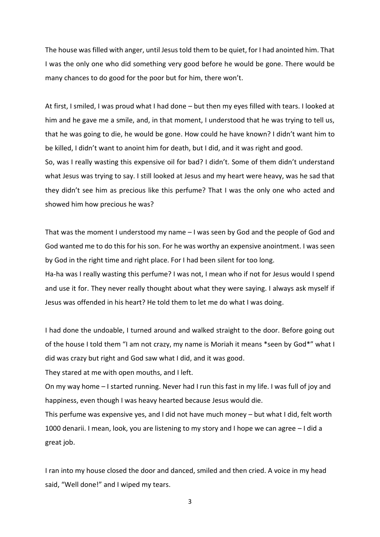The house was filled with anger, until Jesus told them to be quiet, for I had anointed him. That I was the only one who did something very good before he would be gone. There would be many chances to do good for the poor but for him, there won't.

At first, I smiled, I was proud what I had done – but then my eyes filled with tears. I looked at him and he gave me a smile, and, in that moment, I understood that he was trying to tell us, that he was going to die, he would be gone. How could he have known? I didn't want him to be killed, I didn't want to anoint him for death, but I did, and it was right and good. So, was I really wasting this expensive oil for bad? I didn't. Some of them didn't understand what Jesus was trying to say. I still looked at Jesus and my heart were heavy, was he sad that they didn't see him as precious like this perfume? That I was the only one who acted and

showed him how precious he was?

That was the moment I understood my name – I was seen by God and the people of God and God wanted me to do this for his son. For he was worthy an expensive anointment. I was seen by God in the right time and right place. For I had been silent for too long.

Ha-ha was I really wasting this perfume? I was not, I mean who if not for Jesus would I spend and use it for. They never really thought about what they were saying. I always ask myself if Jesus was offended in his heart? He told them to let me do what I was doing.

I had done the undoable, I turned around and walked straight to the door. Before going out of the house I told them "I am not crazy, my name is Moriah it means \*seen by God\*" what I did was crazy but right and God saw what I did, and it was good.

They stared at me with open mouths, and I left.

On my way home – I started running. Never had I run this fast in my life. I was full of joy and happiness, even though I was heavy hearted because Jesus would die.

This perfume was expensive yes, and I did not have much money – but what I did, felt worth 1000 denarii. I mean, look, you are listening to my story and I hope we can agree – I did a great job.

I ran into my house closed the door and danced, smiled and then cried. A voice in my head said, "Well done!" and I wiped my tears.